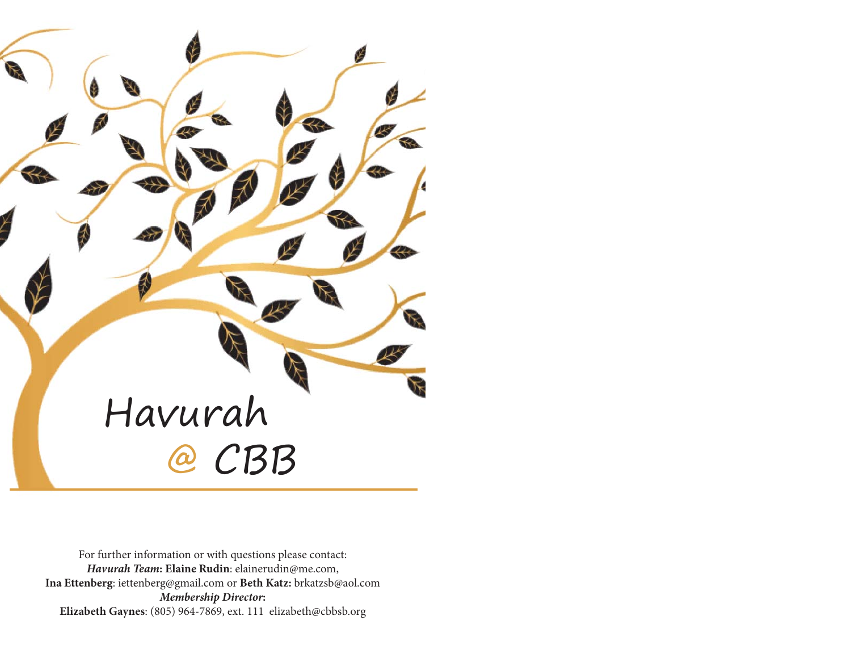

For further information or with questions please contact: *Havurah Team***: Elaine Rudin**: elainerudin@me.com, **Ina Ettenberg**: iettenberg@gmail.com or **Beth Katz:** brkatzsb@aol.com *Membership Director***: Elizabeth Gaynes**: (805) 964-7869, ext. 111 elizabeth@cbbsb.org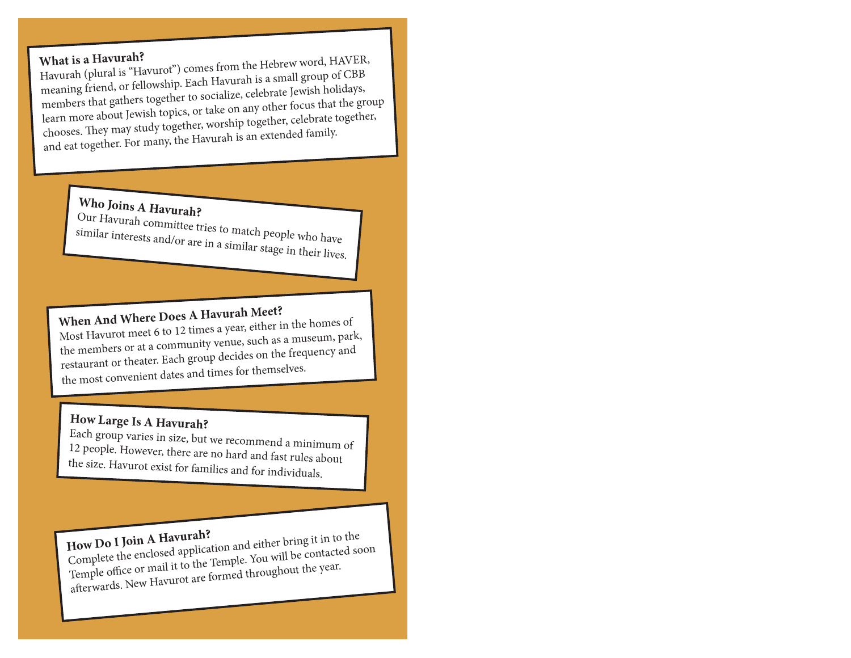What is a Havurah?<br>Havurah (plural is "Havurot") comes from the Hebrew word, HAVER,<br>meaning friend, or fellowship. Each Havurah is a small group of CBB<br>members that gathers together to socialize, celebrate Jewish holidays,

Who Joins A Havurah?<br>Our Havurah committee tries to match people who have similar interests and/or are in a similar stage in their lives.

When And Where Does A Havurah Meet?<br>Most Havurot meet 6 to 12 times a year, either in the homes of the members or at a community venue, such as a museum, park, restaurant or theater. Each group decides on the frequency and the most convenient dates and times for themselves.

## **How Large Is A Havurah?**

Each group varies in size, but we recommend a minimum of 12 people. However, there are no hard and fast rules about the size. Havurot exist for families and for individuals.

How Do I Join A Havurah?<br>Complete the enclosed application and either bring it in to the Complete the enclosed application and either bring it in to the Temple. You will be contacted soon afterwards. New Havurot are formed throughout the year.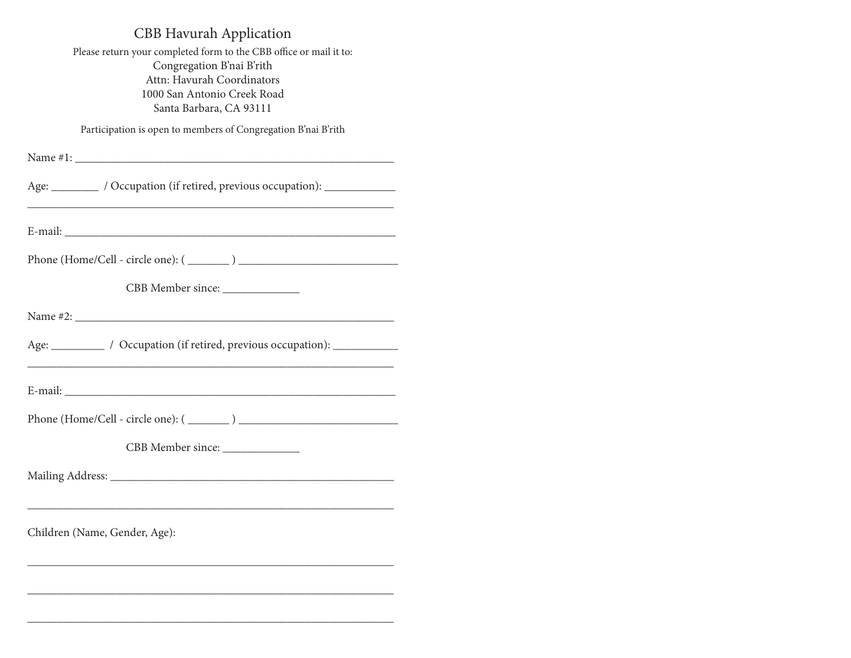## CBB Havurah Application

Please return your completed form to the CBB office or mail it to: Congregation B'nai B'rith Attn: Havurah Coordinators 1000 San Antonio Creek Road Santa Barbara, CA 93111

Participation is open to members of Congregation B'nai B'rith

| Age: __________ / Occupation (if retired, previous occupation): ______________                                                                          |
|---------------------------------------------------------------------------------------------------------------------------------------------------------|
|                                                                                                                                                         |
|                                                                                                                                                         |
| CBB Member since:                                                                                                                                       |
|                                                                                                                                                         |
| Age: ____________ / Occupation (if retired, previous occupation): _____________<br><u> 1989 - Johann Barn, mars an t-Amerikaansk politiker (* 1958)</u> |
|                                                                                                                                                         |
|                                                                                                                                                         |
| CBB Member since: ________________                                                                                                                      |
|                                                                                                                                                         |
| <u> 1989 - Johann Harry Harry Harry Harry Harry Harry Harry Harry Harry Harry Harry Harry Harry Harry Harry Harry</u><br>Children (Name, Gender, Age):  |
| <u> 1989 - Johann Stoff, deutscher Stoff, der Stoff, der Stoff, der Stoff, der Stoff, der Stoff, der Stoff, der S</u>                                   |
|                                                                                                                                                         |